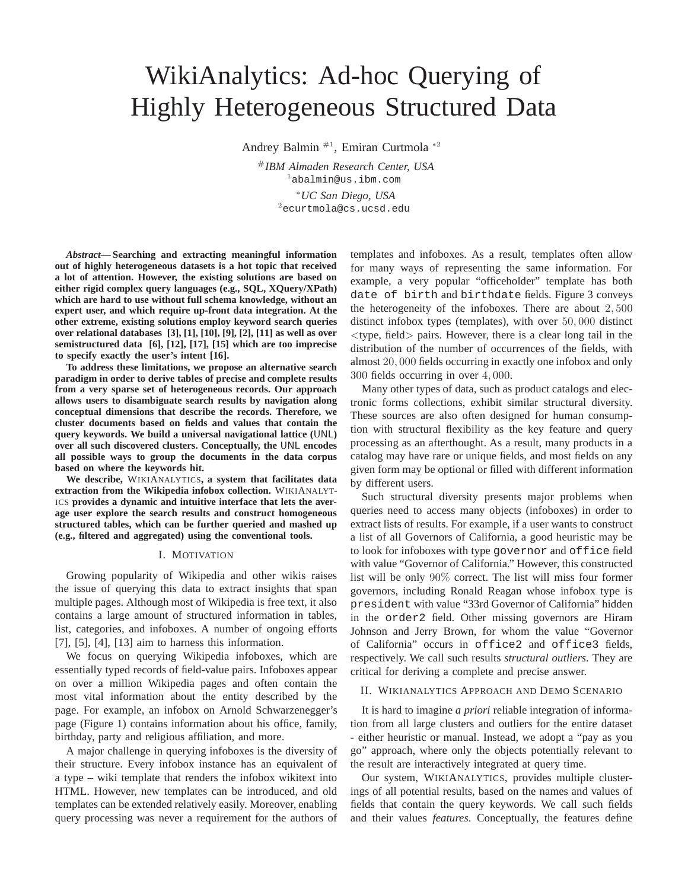# WikiAnalytics: Ad-hoc Querying of Highly Heterogeneous Structured Data

Andrey Balmin #1, Emiran Curtmola <sup>∗</sup><sup>2</sup>

#*IBM Almaden Research Center, USA* <sup>1</sup>abalmin@us.ibm.com <sup>∗</sup>*UC San Diego, USA*

<sup>2</sup>ecurtmola@cs.ucsd.edu

*Abstract***— Searching and extracting meaningful information out of highly heterogeneous datasets is a hot topic that received a lot of attention. However, the existing solutions are based on either rigid complex query languages (e.g., SQL, XQuery/XPath) which are hard to use without full schema knowledge, without an expert user, and which require up-front data integration. At the other extreme, existing solutions employ keyword search queries over relational databases [3], [1], [10], [9], [2], [11] as well as over semistructured data [6], [12], [17], [15] which are too imprecise to specify exactly the user's intent [16].**

**To address these limitations, we propose an alternative search paradigm in order to derive tables of precise and complete results from a very sparse set of heterogeneous records. Our approach allows users to disambiguate search results by navigation along conceptual dimensions that describe the records. Therefore, we cluster documents based on fields and values that contain the query keywords. We build a universal navigational lattice (**UNL**) over all such discovered clusters. Conceptually, the** UNL **encodes all possible ways to group the documents in the data corpus based on where the keywords hit.**

**We describe,** WIKIANALYTICS**, a system that facilitates data extraction from the Wikipedia infobox collection.** WIKIANALYT-ICS **provides a dynamic and intuitive interface that lets the average user explore the search results and construct homogeneous structured tables, which can be further queried and mashed up (e.g., filtered and aggregated) using the conventional tools.**

### I. MOTIVATION

Growing popularity of Wikipedia and other wikis raises the issue of querying this data to extract insights that span multiple pages. Although most of Wikipedia is free text, it also contains a large amount of structured information in tables, list, categories, and infoboxes. A number of ongoing efforts [7], [5], [4], [13] aim to harness this information.

We focus on querying Wikipedia infoboxes, which are essentially typed records of field-value pairs. Infoboxes appear on over a million Wikipedia pages and often contain the most vital information about the entity described by the page. For example, an infobox on Arnold Schwarzenegger's page (Figure 1) contains information about his office, family, birthday, party and religious affiliation, and more.

A major challenge in querying infoboxes is the diversity of their structure. Every infobox instance has an equivalent of a type – wiki template that renders the infobox wikitext into HTML. However, new templates can be introduced, and old templates can be extended relatively easily. Moreover, enabling query processing was never a requirement for the authors of

templates and infoboxes. As a result, templates often allow for many ways of representing the same information. For example, a very popular "officeholder" template has both date of birth and birthdate fields. Figure 3 conveys the heterogeneity of the infoboxes. There are about 2, 500 distinct infobox types (templates), with over 50, 000 distinct  $\lt$ type, field  $>$  pairs. However, there is a clear long tail in the distribution of the number of occurrences of the fields, with almost 20, 000 fields occurring in exactly one infobox and only 300 fields occurring in over 4, 000.

Many other types of data, such as product catalogs and electronic forms collections, exhibit similar structural diversity. These sources are also often designed for human consumption with structural flexibility as the key feature and query processing as an afterthought. As a result, many products in a catalog may have rare or unique fields, and most fields on any given form may be optional or filled with different information by different users.

Such structural diversity presents major problems when queries need to access many objects (infoboxes) in order to extract lists of results. For example, if a user wants to construct a list of all Governors of California, a good heuristic may be to look for infoboxes with type governor and office field with value "Governor of California." However, this constructed list will be only 90% correct. The list will miss four former governors, including Ronald Reagan whose infobox type is president with value "33rd Governor of California" hidden in the order2 field. Other missing governors are Hiram Johnson and Jerry Brown, for whom the value "Governor of California" occurs in office2 and office3 fields, respectively. We call such results *structural outliers*. They are critical for deriving a complete and precise answer.

### II. WIKIANALYTICS APPROACH AND DEMO SCENARIO

It is hard to imagine *a priori* reliable integration of information from all large clusters and outliers for the entire dataset - either heuristic or manual. Instead, we adopt a "pay as you go" approach, where only the objects potentially relevant to the result are interactively integrated at query time.

Our system, WIKIANALYTICS, provides multiple clusterings of all potential results, based on the names and values of fields that contain the query keywords. We call such fields and their values *features*. Conceptually, the features define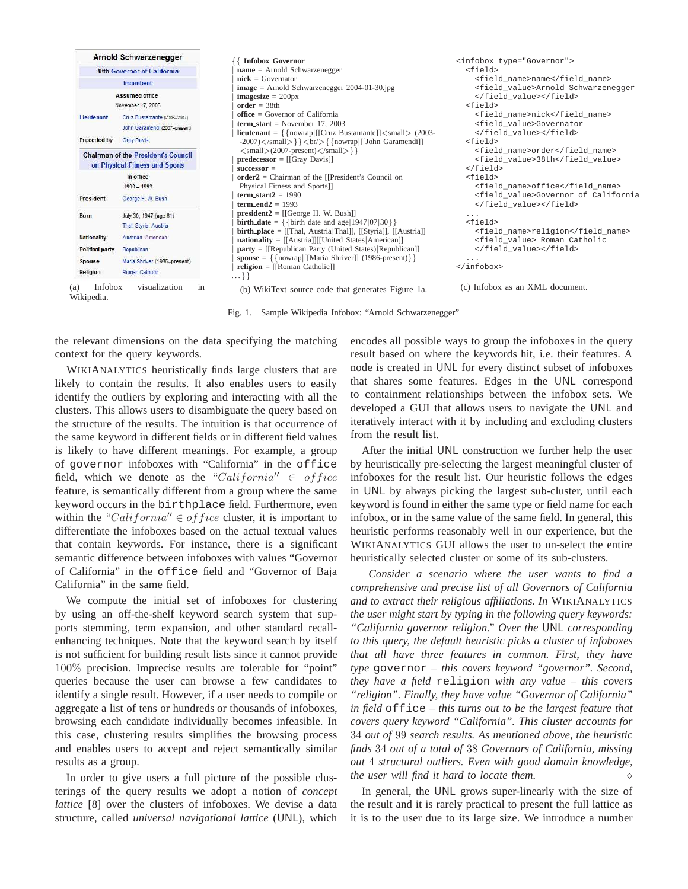|                                                                                                                  | Arnold Schwarzenegger                                                                                                                | {{ Infobox Governor                                                                                                                                                                                                                                                                                                                                                                                                                           | <infobox type="Governor"></infobox>                                                                                                               |
|------------------------------------------------------------------------------------------------------------------|--------------------------------------------------------------------------------------------------------------------------------------|-----------------------------------------------------------------------------------------------------------------------------------------------------------------------------------------------------------------------------------------------------------------------------------------------------------------------------------------------------------------------------------------------------------------------------------------------|---------------------------------------------------------------------------------------------------------------------------------------------------|
| 38th Governor of California                                                                                      |                                                                                                                                      | $name = Arnold Schwartzenegger$                                                                                                                                                                                                                                                                                                                                                                                                               | $<$ field>                                                                                                                                        |
| Incumbent                                                                                                        |                                                                                                                                      | $nick = Government$                                                                                                                                                                                                                                                                                                                                                                                                                           | <field name="">name</field>                                                                                                                       |
| Lieutenant                                                                                                       | Assumed office<br>November 17, 2003<br>Cruz Bustamante (2003-2007)<br>John Garamendi (2007-present)                                  | $image = Arnold$ Schwarzenegger 2004-01-30.jpg<br><b>imagesize</b> = $200px$<br>$order = 38th$<br>$of\$ {face} = Government of California<br>term_start = November 17, 2003<br><b>lieutenant</b> = $\{ \{ \text{nowrap} \mid [[Cruz Bustamante]] < \text{small} \}$ (2003-                                                                                                                                                                    | <field value="">Arnold Schwarzenegger<br/></field><br><field><br/><field name="">nick</field><br/><field value="">Governator<br/></field></field> |
| Preceded by<br><b>Gray Davis</b><br><b>Chairman of the President's Council</b><br>on Physical Fitness and Sports |                                                                                                                                      | $-2007$ $\langle$ /small $\rangle$ } $\langle$ br/ $\rangle$ { {nowrap [[John Garamendi]]<br>$\langle \text{small}\rangle$ (2007-present) $\langle \text{small}\rangle$ }<br>$predecessary = [[Gray Davis]]$<br>$successor =$                                                                                                                                                                                                                 | <field><br/><field name="">order</field><br/><field value="">38th</field><br/><math>\langle</math> /field&gt;</field>                             |
| President                                                                                                        | In office<br>$1990 - 1993$<br>George H. W. Bush                                                                                      | $order2 = Chairman$ of the [[President's Council on<br>Physical Fitness and Sports]]<br>$term\_start2 = 1990$<br>term_end2 = $1993$                                                                                                                                                                                                                                                                                                           | <field><br/><field name="">office</field><br/><field value="">Governor of California<br/></field></field>                                         |
| Born<br><b>Nationality</b><br>Political party<br>Spouse<br>Religion                                              | July 30, 1947 (age 61)<br>Thal, Styria, Austria<br>Austrian-American<br>Republican<br>Maria Shriver (1986-present)<br>Roman Catholic | <b>president2</b> = $[[George H. W. Bush]]$<br><b>birth_date</b> = $\{\{\text{birth date and age} \frac{1947}{07} 30\}\}\$<br>$birth\_place = [[That, Austria That]], [[Styria]], [[Australia]]]$<br>$nationality = [[Australia]][[United States]American]]$<br>$party = [[Republican Party (United States)   Republican]]$<br>spouse = $\{\{\text{nowrap}   [[\text{Maria Shriver}]] (1986-present)\}\}\$<br>$religion = [[Roman Catholic]]$ | .<br>$<$ field><br><field_name>religion</field_name><br><field value=""> Roman Catholic<br/></field><br>$\cdots$<br>                              |
| <b>Infobox</b><br>(a)<br>Wikipedia.                                                                              | visualization<br>in                                                                                                                  | $$ }}<br>(b) WikiText source code that generates Figure 1a.<br>Sample Wikipedia Infobox: "Arnold Schwarzenegger"<br>Fig. 1.                                                                                                                                                                                                                                                                                                                   | (c) Infobox as an XML document.                                                                                                                   |

the relevant dimensions on the data specifying the matching context for the query keywords.

WIKIANALYTICS heuristically finds large clusters that are likely to contain the results. It also enables users to easily identify the outliers by exploring and interacting with all the clusters. This allows users to disambiguate the query based on the structure of the results. The intuition is that occurrence of the same keyword in different fields or in different field values is likely to have different meanings. For example, a group of governor infoboxes with "California" in the office field, which we denote as the "California"  $\in$  of fice feature, is semantically different from a group where the same keyword occurs in the birthplace field. Furthermore, even within the "California"  $\in$  of fice cluster, it is important to differentiate the infoboxes based on the actual textual values that contain keywords. For instance, there is a significant semantic difference between infoboxes with values "Governor of California" in the office field and "Governor of Baja California" in the same field.

We compute the initial set of infoboxes for clustering by using an off-the-shelf keyword search system that supports stemming, term expansion, and other standard recallenhancing techniques. Note that the keyword search by itself is not sufficient for building result lists since it cannot provide 100% precision. Imprecise results are tolerable for "point" queries because the user can browse a few candidates to identify a single result. However, if a user needs to compile or aggregate a list of tens or hundreds or thousands of infoboxes, browsing each candidate individually becomes infeasible. In this case, clustering results simplifies the browsing process and enables users to accept and reject semantically similar results as a group.

In order to give users a full picture of the possible clusterings of the query results we adopt a notion of *concept lattice* [8] over the clusters of infoboxes. We devise a data structure, called *universal navigational lattice* (UNL), which encodes all possible ways to group the infoboxes in the query result based on where the keywords hit, i.e. their features. A node is created in UNL for every distinct subset of infoboxes that shares some features. Edges in the UNL correspond to containment relationships between the infobox sets. We developed a GUI that allows users to navigate the UNL and iteratively interact with it by including and excluding clusters from the result list.

After the initial UNL construction we further help the user by heuristically pre-selecting the largest meaningful cluster of infoboxes for the result list. Our heuristic follows the edges in UNL by always picking the largest sub-cluster, until each keyword is found in either the same type or field name for each infobox, or in the same value of the same field. In general, this heuristic performs reasonably well in our experience, but the WIKIANALYTICS GUI allows the user to un-select the entire heuristically selected cluster or some of its sub-clusters.

*Consider a scenario where the user wants to find a comprehensive and precise list of all Governors of California and to extract their religious affiliations. In* WIKIANALYTICS *the user might start by typing in the following query keywords: "California governor religion." Over the* UNL *corresponding to this query, the default heuristic picks a cluster of infoboxes that all have three features in common. First, they have type* governor *– this covers keyword "governor". Second, they have a field* religion *with any value – this covers "religion". Finally, they have value "Governor of California" in field* office *– this turns out to be the largest feature that covers query keyword "California". This cluster accounts for* 34 *out of* 99 *search results. As mentioned above, the heuristic finds* 34 *out of a total of* 38 *Governors of California, missing out* 4 *structural outliers. Even with good domain knowledge, the user will find it hard to locate them.*

In general, the UNL grows super-linearly with the size of the result and it is rarely practical to present the full lattice as it is to the user due to its large size. We introduce a number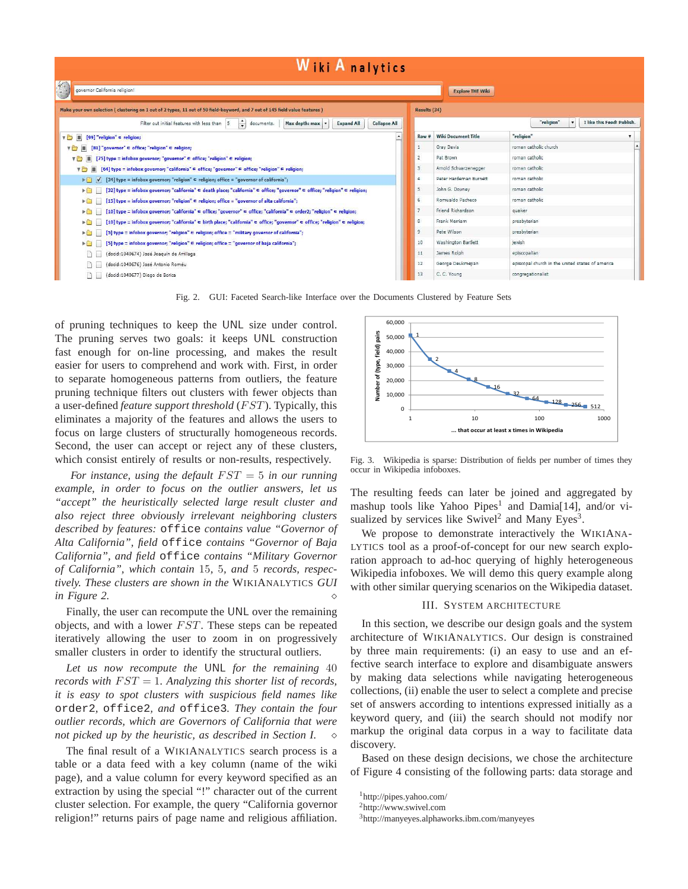# **Wiki Analytics**

| $\mathcal{L}$<br>governor California religion!                                                                                                                       |                | <b>Explore THE Wiki</b>    |                                                  |                            |                            |
|----------------------------------------------------------------------------------------------------------------------------------------------------------------------|----------------|----------------------------|--------------------------------------------------|----------------------------|----------------------------|
| Make your own selection (clustering on 1 out of 2 types, 11 out of 50 field-keyword, and 7 out of 145 field value features)                                          | Results (34)   |                            |                                                  |                            |                            |
| $\frac{1}{x}$ documents.<br>Filter out initial features with less than 5<br>Max depth: max<br><b>Expand All</b><br><b>Collapse All</b>                               |                |                            |                                                  | "religion"<br>$\mathbf{r}$ | I like this Feed! Publish. |
| [99] "religion" $\in$ religion;<br>▼■                                                                                                                                | Row #          | <b>Wiki Document Title</b> | "religion"<br>۷                                  |                            |                            |
| $[81]$ "governor" $\in$ office; "religion" $\in$ religion;<br>YO                                                                                                     |                | Gray Davis                 | roman catholic church                            |                            |                            |
| [75] type = infobox governor; "governor" $\in$ office; "religion" $\in$ religion;<br>$V \cap$                                                                        | $\overline{2}$ | Pat Brown                  | roman catholic                                   |                            |                            |
| [64] type = infobox governor; "california" ∈ office; "governor" ∈ office; "religion" ∈ religion;<br>圖<br>VD                                                          | 3              | Arnold Schwarzenegger      | roman catholic                                   |                            |                            |
| $[34]$ type = infobox governor; "religion" $\in$ religion; office = "governor of california";<br><b>FEIV</b>                                                         | $\overline{4}$ | Peter Hardeman Burnett     | roman catholic                                   |                            |                            |
| [32] type = infobox governor; "california" ∈ death place; "california" ∈ office; "governor" ∈ office; "religion" ∈ religion;<br>$\blacktriangleright$ $\blacksquare$ | 5              | John G. Downey             | roman catholic                                   |                            |                            |
| [15] type = infobox governor; "religion" ∈ religion; office = "governor of alta california";<br>ÞО                                                                   | 6              | Romualdo Pacheco           | roman catholic                                   |                            |                            |
| [10] type = infobox governor; "california" ∈ office; "governor" ∈ office; "california" ∈ order2; "religion" ∈ religion;<br>$\blacktriangleright$ (iii)               | $\overline{7}$ | Friend Richardson          | guaker                                           |                            |                            |
| [10] type = infobox governor; "california" ∈ birth place; "california" ∈ office; "governor" ∈ office; "religion" ∈ religion;<br><b>Expertise</b>                     | 8              | Frank Merriam              | presbyterian                                     |                            |                            |
| [5] type = infobox governor; "religion" ∈ religion; office = "military governor of california";<br>$\blacktriangleright$                                             | 9              | Pete Wilson                | presbyterian                                     |                            |                            |
| [5] type = infobox governor; "religion" ∈ religion; office = "governor of baja california";<br>▶□                                                                    | 10             | Washington Bartlett        | jewish                                           |                            |                            |
| (docid:1040674) José Joaquín de Arrillaga                                                                                                                            | 11             | James Rolph                | episcopalian                                     |                            |                            |
| (docid:1040676) José Antonio Roméu                                                                                                                                   | 12             | George Deukmejian          | episcopal church in the united states of america |                            |                            |
| (docid:1040677) Diego de Borica                                                                                                                                      | 13             | C. C. Young                | congregationalist                                |                            |                            |

Fig. 2. GUI: Faceted Search-like Interface over the Documents Clustered by Feature Sets

of pruning techniques to keep the UNL size under control. The pruning serves two goals: it keeps UNL construction fast enough for on-line processing, and makes the result easier for users to comprehend and work with. First, in order to separate homogeneous patterns from outliers, the feature pruning technique filters out clusters with fewer objects than a user-defined *feature support threshold* (*FST*). Typically, this eliminates a majority of the features and allows the users to focus on large clusters of structurally homogeneous records. Second, the user can accept or reject any of these clusters, which consist entirely of results or non-results, respectively.

*For instance, using the default* FST = 5 *in our running example, in order to focus on the outlier answers, let us "accept" the heuristically selected large result cluster and also reject three obviously irrelevant neighboring clusters described by features:* office *contains value "Governor of Alta California", field* office *contains "Governor of Baja California", and field* office *contains "Military Governor of California", which contain* 15*,* 5*, and* 5 *records, respectively. These clusters are shown in the* WIKIANALYTICS *GUI in Figure 2.*

Finally, the user can recompute the UNL over the remaining objects, and with a lower  $FST$ . These steps can be repeated iteratively allowing the user to zoom in on progressively smaller clusters in order to identify the structural outliers.

*Let us now recompute the* UNL *for the remaining* 40 *records with* FST = 1*. Analyzing this shorter list of records, it is easy to spot clusters with suspicious field names like* order2*,* office2*, and* office3*. They contain the four outlier records, which are Governors of California that were not picked up by the heuristic, as described in Section I.*

The final result of a WIKIANALYTICS search process is a table or a data feed with a key column (name of the wiki page), and a value column for every keyword specified as an extraction by using the special "!" character out of the current cluster selection. For example, the query "California governor religion!" returns pairs of page name and religious affiliation.



Fig. 3. Wikipedia is sparse: Distribution of fields per number of times they occur in Wikipedia infoboxes.

The resulting feeds can later be joined and aggregated by mashup tools like Yahoo Pipes<sup>1</sup> and Damia[14], and/or visualized by services like  $Swivel^2$  and Many Eyes<sup>3</sup>.

We propose to demonstrate interactively the WIKIANA-LYTICS tool as a proof-of-concept for our new search exploration approach to ad-hoc querying of highly heterogeneous Wikipedia infoboxes. We will demo this query example along with other similar querying scenarios on the Wikipedia dataset.

## III. SYSTEM ARCHITECTURE

In this section, we describe our design goals and the system architecture of WIKIANALYTICS. Our design is constrained by three main requirements: (i) an easy to use and an effective search interface to explore and disambiguate answers by making data selections while navigating heterogeneous collections, (ii) enable the user to select a complete and precise set of answers according to intentions expressed initially as a keyword query, and (iii) the search should not modify nor markup the original data corpus in a way to facilitate data discovery.

Based on these design decisions, we chose the architecture of Figure 4 consisting of the following parts: data storage and

<sup>1</sup>http://pipes.yahoo.com/

<sup>2</sup>http://www.swivel.com

<sup>3</sup>http://manyeyes.alphaworks.ibm.com/manyeyes